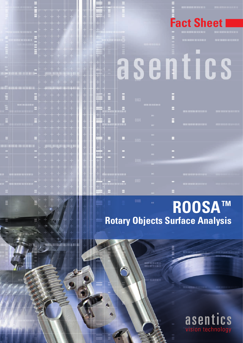|                                                                                                                |                                                                                                                                          | $\frac{1}{2}$ , and the set of the set of the set of the set of the set of the set of the set of the set of the set of the set of the set of the set of the set of the set of the set of the set of the set of the set of the set<br>$+ + +$<br>$\sim$ 1000<br>7 I TII<br>the product of the first state<br><b>State of Second Activities</b> | w<br>- 31                                           | <b>HATTLE</b><br>الأزادان<br><b>Marie</b> r                                                                                             |                             |                          |                                                                     |              | <b>EXCEL INVESTIGATION IN THE REAL PROPERTY</b><br><b>Fact Sheet I</b> | <b>TEST</b>                                                                                                                       |
|----------------------------------------------------------------------------------------------------------------|------------------------------------------------------------------------------------------------------------------------------------------|-----------------------------------------------------------------------------------------------------------------------------------------------------------------------------------------------------------------------------------------------------------------------------------------------------------------------------------------------|-----------------------------------------------------|-----------------------------------------------------------------------------------------------------------------------------------------|-----------------------------|--------------------------|---------------------------------------------------------------------|--------------|------------------------------------------------------------------------|-----------------------------------------------------------------------------------------------------------------------------------|
| <b>PERSONAL PRO</b><br><b>TTA</b>                                                                              | $+ + + +$<br><b>Report Follows</b><br><b>The Second Contract of the Second</b><br>$+ + +$<br>EL LIN<br><b>Contract Contract Contract</b> | <b>RAL</b><br>man<br>$\left  \frac{1}{2} \right $<br>a s<br>m                                                                                                                                                                                                                                                                                 | <b>ALL</b><br>TH.                                   | <b>BELLEVILLE</b><br><u>in Li</u><br><b>Section</b><br>$29 - 100 + 100$<br>用手机                                                          |                             |                          | <b>STANDARD AT</b>                                                  |              | <b>THERE ASSOCIATES BEEN ARTISTS</b><br>THE RESIDENCE OF A 49 YO       | 1910/08/09 18:413 11:15<br><b><i><u>ANTHE SHIRTEE BEST AND A RESIDENCE OF A 45 YEAR OLD A BEST AT LEAST AND RESIDENCE</u></i></b> |
| a se del control del militar del segundo por la segundo del control del control del control del control del co | $+ + + +$<br><b>Contract Contract Contract</b><br>of the company of the company<br>$+ + +$<br>$\sim$ $\sim$ $\sim$ $\sim$ $\sim$ $\sim$  | Ħ<br><b>In the Contract</b><br>"4"                                                                                                                                                                                                                                                                                                            | $-100$ HH $\mu$<br>- 16<br>$\sim$<br><b>CONTROL</b> | 加長島<br><b>THE</b><br><b>THE REAL</b><br><b>Harry Book</b><br>4<br>$+ +$<br>$\bigoplus$                                                  | ê                           |                          |                                                                     |              |                                                                        |                                                                                                                                   |
| all'interno comunica sociali (il il 40004 strango).<br>terem in matt                                           | , + + +                                                                                                                                  | $\vdash$ $\mathsf{H}$<br>فجالية<br>I ÷<br>$+ + +$<br>$+ + + + + +$                                                                                                                                                                                                                                                                            | m<br>$\ddot{}$<br>ш<br>$\pm$                        | $\ddot{}$<br>4<br>HH E<br>S<br>开关                                                                                                       | END                         | <b>BRS</b>               | <b>BULLIMON BULL</b>                                                |              |                                                                        |                                                                                                                                   |
|                                                                                                                | m.                                                                                                                                       | $++$ + +<br>$+ +$<br><u> 1989 - Jacques Jacques III, popular popular e</u><br>the contract of the contract of the<br><b>The Mary 19</b><br>$\pm$ $\pm$ $\pm$<br>IŦ.<br>$\top$ $\top$<br>the change of the film.<br><b>New York State And Service Company (1988) [2012</b>                                                                     | 7 M<br>m<br>ᄈ                                       | $\begin{array}{c} \blacksquare \ \blacksquare \ \blacksquare \end{array}$<br>$+$ $+$ $-$<br>H<br><b>SECTION</b><br>щ<br><b>PERSONAL</b> | æ.<br>E<br>om               | 004                      | $\mathbf{m}_1$<br><b>HIT</b>                                        | в<br>E       | <b>THE ROOM OF BUILDING</b><br>TEST   ULEAU   2012 1013 1110           | <b>THE REAL PROPERTY AND</b>                                                                                                      |
| <b>IN OUR DESCRIPTION OF REAL PROPERTY OF REAL PROPERTY.</b>                                                   | $+ + +$<br>The complete state of the complete<br><b>State of the State</b>                                                               | $+$ $+$<br>the control of the control<br><b>STATE OF BUILDING</b><br>the of motion about the<br><b>HATAL</b><br><b>TELEVISION</b>                                                                                                                                                                                                             | ш<br>m<br>w                                         | 픏<br>ke musi pinal<br>и<br>ᅞ<br>阿言<br>ال الكار                                                                                          | H<br>÷                      | $-005$                   | $\mathbf{H}\mathbf{H}$ .<br>$\mathbf{m}$<br>$\mathbf{m}_\mathrm{c}$ | н<br>o<br>n, |                                                                        |                                                                                                                                   |
| atuustatumistuttu<br>AND LANDING FOR THE REAL PROPERTY AND RE                                                  | <b>Providence of the State</b><br>$+ + +$<br><b>Report of the State</b><br>the property of the property of                               | $+ + +$<br>$\begin{array}{c} \begin{array}{c} \begin{array}{c} \end{array} \end{array} \end{array}$<br>be a perceive or present with the<br>the lists.<br>14<br>$+ + -$                                                                                                                                                                       | Ш<br>- 11<br>79<br>W<br>731                         | $\overline{+}$<br>œ<br>riwanca j<br>÷<br>m.<br>$\overline{+}$<br><b>TERRITORIA</b>                                                      | <b>ALCOHOL:</b><br>illy all | <b>BOO</b><br><b>UOZ</b> | $\overline{\rm m}_{\rm L}$<br>$\mathbf{m}_{\mathbf{L}}$             |              | <b>BURGHANDERS MAY</b><br>THE CHARGE CONSULTS.                         |                                                                                                                                   |
|                                                                                                                | $+ + + +$<br>$= 1 + 1 +$                                                                                                                 | $+$<br>$\mathbf{L}$ . The $\mathbf{L}$                                                                                                                                                                                                                                                                                                        |                                                     | Ξ.                                                                                                                                      | н                           |                          | m.                                                                  | в            |                                                                        |                                                                                                                                   |

## **TM ROOSA Rotary Objects Surface Analysis**

seemili melmit<br>Selatan melaku